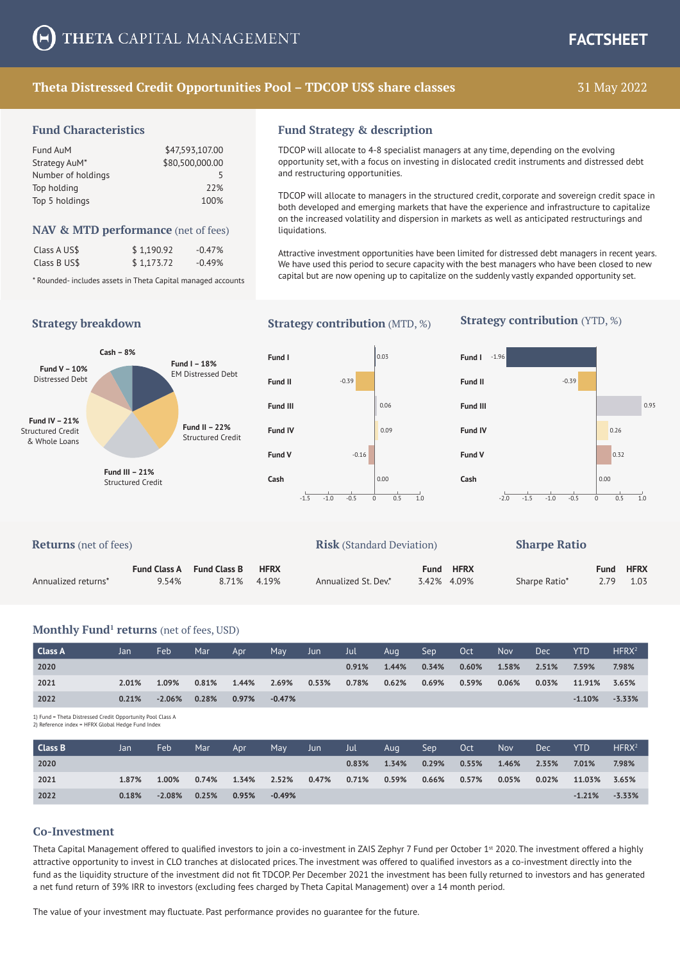## **Theta Distressed Credit Opportunities Pool – TDCOP US\$ share classes** 31 May 2022

#### **Fund Characteristics**

| Fund AuM           | \$47,593,107.00 |
|--------------------|-----------------|
| Strategy AuM*      | \$80,500,000.00 |
| Number of holdings | 5               |
| Top holding        | 77%             |
| Top 5 holdings     | 100%            |

#### **NAV & MTD performance** (net of fees)

| Class A US\$ | \$1.190.92 | $-0.47%$ |
|--------------|------------|----------|
| Class B US\$ | \$1,173.72 | $-0.49%$ |

**Cash – 8%**

\* Rounded- includes assets in Theta Capital managed accounts

**Fund I – 18%** EM Distressed Debt

> **Fund II – 22%** Structured Credit

# **Fund Strategy & description**

TDCOP will allocate to 4-8 specialist managers at any time, depending on the evolving opportunity set, with a focus on investing in dislocated credit instruments and distressed debt and restructuring opportunities.

TDCOP will allocate to managers in the structured credit, corporate and sovereign credit space in both developed and emerging markets that have the experience and infrastructure to capitalize on the increased volatility and dispersion in markets as well as anticipated restructurings and liquidations.

Attractive investment opportunities have been limited for distressed debt managers in recent years. We have used this period to secure capacity with the best managers who have been closed to new capital but are now opening up to capitalize on the suddenly vastly expanded opportunity set.

**Fund IV – 21%** Structured Credit & Whole Loans

**Fund V – 10%** Distressed Debt

# **Fund I**  $\begin{array}{ccc} 0.03 & \text{Fund I} & -1.96 \end{array}$ **Fund II**  $-0.39$   $-0.39$  **Fund II**  $-0.39$ **Fund V 1.16** 0.32 **Cash** 0.00 **Cash** 0.00 **Fund IV Definition in the UP of CO26 Fund IV CO26 Fund IV Definition in the UP of CO26**

# **Strategy breakdown Strategy contribution** (MTD, %) **Strategy contribution** (YTD, %)



| <b>Returns</b> (net of fees) |                     |                     |             | <b>Risk</b> (Standard Deviation) |             |             | <b>Sharpe Ratio</b> |      |             |
|------------------------------|---------------------|---------------------|-------------|----------------------------------|-------------|-------------|---------------------|------|-------------|
|                              | <b>Fund Class A</b> | <b>Fund Class B</b> | <b>HFRX</b> |                                  | <b>Fund</b> | <b>HFRX</b> |                     | Fund | <b>HFRX</b> |
| Annualized returns*          | 9.54%               | 8.71%               | 4.19%       | Annualized St. Dev.*             |             | 3.42% 4.09% | Sharpe Ratio*       | 2.79 | 1.03        |

#### **Monthly Fund<sup>1</sup> returns** (net of fees, USD)

**Fund III – 21%** Structured Credit

| Class A | Jan   | Feb             | Mar   | Apr   | May      | Jun   | Jul   | Aug      | Sep   | Oct      | Nov   | <b>Dec</b> | YTD.      | HFRX <sup>2</sup> |
|---------|-------|-----------------|-------|-------|----------|-------|-------|----------|-------|----------|-------|------------|-----------|-------------------|
| 2020    |       |                 |       |       |          |       | 0.91% | 1.44%    | 0.34% | $0.60\%$ | 1.58% | 2.51%      | 7.59%     | 7.98%             |
| 2021    | 2.01% | 1.09%           | 0.81% | 1.44% | 2.69%    | 0.53% | 0.78% | $0.62\%$ | 0.69% | 0.59%    | 0.06% | 0.03%      | 11.91%    | 3.65%             |
| 2022    | 0.21% | $-2.06\%$ 0.28% |       | 0.97% | $-0.47%$ |       |       |          |       |          |       |            | $-1.10\%$ | $-3.33%$          |

1) Fund = Theta Distressed Credit Opportunity Pool Class A 2) Reference index = HFRX Global Hedge Fund Index

| Class B | Jan   | Feb             | Mar   | Apr   | May       | Jun   | Jul   | Aug   | Sep      | Oct   | <b>Nov</b> | <b>Dec</b> | <b>YTD</b>   | HFRX <sup>2</sup> |
|---------|-------|-----------------|-------|-------|-----------|-------|-------|-------|----------|-------|------------|------------|--------------|-------------------|
| 2020    |       |                 |       |       |           |       | 0.83% | 1.34% | $0.29\%$ | 0.55% | 1.46%      | 2.35%      | 7.01%        | 7.98%             |
| 2021    | 1.87% | 1.00%           | 0.74% | 1.34% | 2.52%     | 0.47% | 0.71% | 0.59% | 0.66%    | 0.57% | 0.05%      | 0.02%      | 11.03% 3.65% |                   |
| 2022    | 0.18% | $-2.08\%$ 0.25% |       | 0.95% | $-0.49\%$ |       |       |       |          |       |            |            | $-1.21%$     | $-3.33\%$         |

#### **Co-Investment**

Theta Capital Management offered to qualified investors to join a co-investment in ZAIS Zephyr 7 Fund per October 1<sup>st</sup> 2020. The investment offered a highly attractive opportunity to invest in CLO tranches at dislocated prices. The investment was offered to qualified investors as a co-investment directly into the fund as the liquidity structure of the investment did not fit TDCOP. Per December 2021 the investment has been fully returned to investors and has generated a net fund return of 39% IRR to investors (excluding fees charged by Theta Capital Management) over a 14 month period.

The value of your investment may fluctuate. Past performance provides no guarantee for the future.